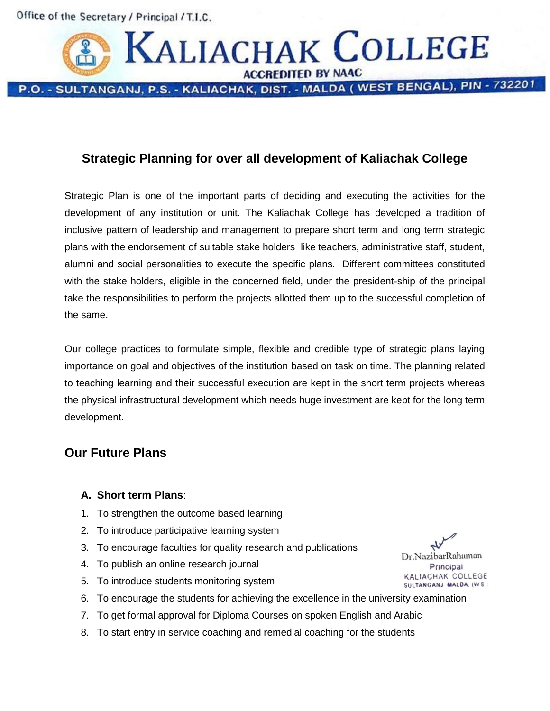Office of the Secretary / Principal / T.I.C.



# **Strategic Planning for over all development of Kaliachak College**

Strategic Plan is one of the important parts of deciding and executing the activities for the development of any institution or unit. The Kaliachak College has developed a tradition of inclusive pattern of leadership and management to prepare short term and long term strategic plans with the endorsement of suitable stake holders like teachers, administrative staff, student, alumni and social personalities to execute the specific plans. Different committees constituted with the stake holders, eligible in the concerned field, under the president-ship of the principal take the responsibilities to perform the projects allotted them up to the successful completion of the same.

Our college practices to formulate simple, flexible and credible type of strategic plans laying importance on goal and objectives of the institution based on task on time. The planning related to teaching learning and their successful execution are kept in the short term projects whereas the physical infrastructural development which needs huge investment are kept for the long term development.

## **Our Future Plans**

### **A. Short term Plans**:

- 1. To strengthen the outcome based learning
- 2. To introduce participative learning system
- 3. To encourage faculties for quality research and publications
- 4. To publish an online research journal
- 5. To introduce students monitoring system
- 6. To encourage the students for achieving the excellence in the university examination
- 7. To get formal approval for Diploma Courses on spoken English and Arabic
- 8. To start entry in service coaching and remedial coaching for the students